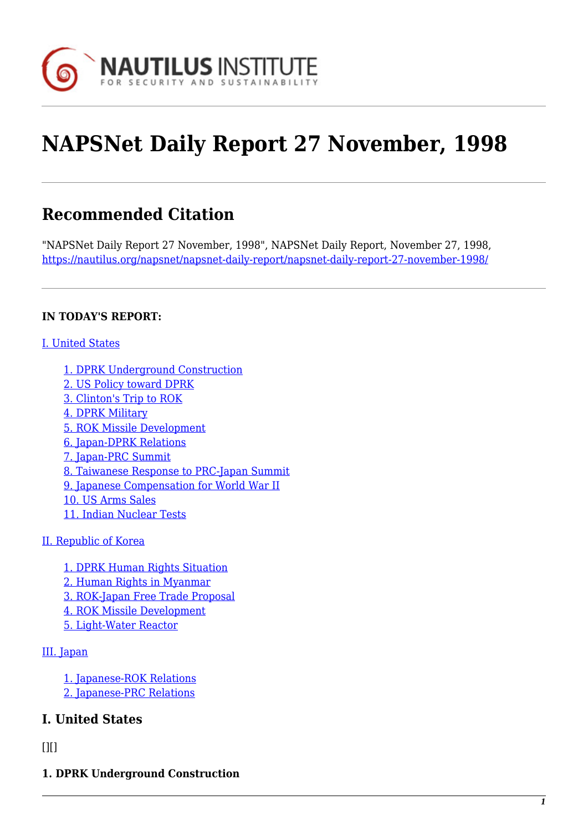

# **NAPSNet Daily Report 27 November, 1998**

# **Recommended Citation**

"NAPSNet Daily Report 27 November, 1998", NAPSNet Daily Report, November 27, 1998, <https://nautilus.org/napsnet/napsnet-daily-report/napsnet-daily-report-27-november-1998/>

#### **IN TODAY'S REPORT:**

#### [I. United States](#page--1-0)

[1. DPRK Underground Construction](#page-0-0) [2. US Policy toward DPRK](#page-1-0) [3. Clinton's Trip to ROK](#page-1-1) [4. DPRK Military](#page-1-2) [5. ROK Missile Development](#page-2-0) [6. Japan-DPRK Relations](#page-2-1) [7. Japan-PRC Summit](#page-2-2) [8. Taiwanese Response to PRC-Japan Summit](#page-3-0) [9. Japanese Compensation for World War II](#page-4-0) [10. US Arms Sales](#page-4-1) [11. Indian Nuclear Tests](#page-4-2)

#### [II. Republic of Korea](#page-5-0)

[1. DPRK Human Rights Situation](#page-5-1) [2. Human Rights in Myanmar](#page-5-2) [3. ROK-Japan Free Trade Proposal](#page-5-3) [4. ROK Missile Development](#page-6-0) [5. Light-Water Reactor](#page-6-1)

#### [III. Japan](#page-6-2)

[1. Japanese-ROK Relations](#page-6-3) [2. Japanese-PRC Relations](#page-7-0)

# **I. United States**

#### <span id="page-0-0"></span> $[$ [ $]$  $[$  $]$  $[$  $]$  $[$  $]$  $[$  $]$  $[$  $]$  $[$  $]$  $[$  $]$  $[$  $]$  $[$  $]$  $[$  $]$  $[$  $]$  $[$  $]$  $[$  $]$  $[$  $]$  $[$  $]$  $[$  $]$  $[$  $]$  $[$  $]$  $[$  $]$  $[$  $]$  $[$  $]$  $[$  $]$  $[$  $]$  $[$  $]$  $[$  $]$  $[$  $]$  $[$  $]$  $[$  $]$  $[$  $]$  $[$  $]$  $[$  $]$  $[$  $]$  $[$  $]$  $[$  $]$  $[$  $]$  $[$

**1. DPRK Underground Construction**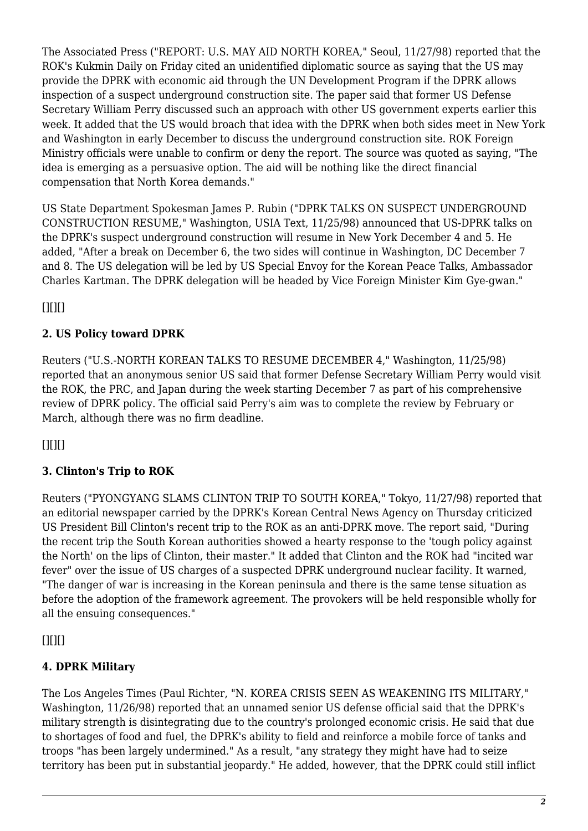The Associated Press ("REPORT: U.S. MAY AID NORTH KOREA," Seoul, 11/27/98) reported that the ROK's Kukmin Daily on Friday cited an unidentified diplomatic source as saying that the US may provide the DPRK with economic aid through the UN Development Program if the DPRK allows inspection of a suspect underground construction site. The paper said that former US Defense Secretary William Perry discussed such an approach with other US government experts earlier this week. It added that the US would broach that idea with the DPRK when both sides meet in New York and Washington in early December to discuss the underground construction site. ROK Foreign Ministry officials were unable to confirm or deny the report. The source was quoted as saying, "The idea is emerging as a persuasive option. The aid will be nothing like the direct financial compensation that North Korea demands."

US State Department Spokesman James P. Rubin ("DPRK TALKS ON SUSPECT UNDERGROUND CONSTRUCTION RESUME," Washington, USIA Text, 11/25/98) announced that US-DPRK talks on the DPRK's suspect underground construction will resume in New York December 4 and 5. He added, "After a break on December 6, the two sides will continue in Washington, DC December 7 and 8. The US delegation will be led by US Special Envoy for the Korean Peace Talks, Ambassador Charles Kartman. The DPRK delegation will be headed by Vice Foreign Minister Kim Gye-gwan."

<span id="page-1-0"></span> $[$ [ $]$  $[$  $]$  $[$  $]$  $[$  $]$  $[$  $]$  $[$  $]$  $[$  $]$  $[$  $]$  $[$  $]$  $[$  $]$  $[$  $]$  $[$  $]$  $[$  $]$  $[$  $]$  $[$  $]$  $[$  $]$  $[$  $]$  $[$  $]$  $[$  $]$  $[$  $]$  $[$  $]$  $[$  $]$  $[$  $]$  $[$  $]$  $[$  $]$  $[$  $]$  $[$  $]$  $[$  $]$  $[$  $]$  $[$  $]$  $[$  $]$  $[$  $]$  $[$  $]$  $[$  $]$  $[$  $]$  $[$  $]$  $[$ 

# **2. US Policy toward DPRK**

Reuters ("U.S.-NORTH KOREAN TALKS TO RESUME DECEMBER 4," Washington, 11/25/98) reported that an anonymous senior US said that former Defense Secretary William Perry would visit the ROK, the PRC, and Japan during the week starting December 7 as part of his comprehensive review of DPRK policy. The official said Perry's aim was to complete the review by February or March, although there was no firm deadline.

<span id="page-1-1"></span> $[$ [ $]$  $[$  $]$  $[$  $]$  $[$  $]$  $[$  $]$  $[$  $]$  $[$  $]$  $[$  $]$  $[$  $]$  $[$  $]$  $[$  $]$  $[$  $]$  $[$  $]$  $[$  $]$  $[$  $]$  $[$  $]$  $[$  $]$  $[$  $]$  $[$  $]$  $[$  $]$  $[$  $]$  $[$  $]$  $[$  $]$  $[$  $]$  $[$  $]$  $[$  $]$  $[$  $]$  $[$  $]$  $[$  $]$  $[$  $]$  $[$  $]$  $[$  $]$  $[$  $]$  $[$  $]$  $[$  $]$  $[$  $]$  $[$ 

# **3. Clinton's Trip to ROK**

Reuters ("PYONGYANG SLAMS CLINTON TRIP TO SOUTH KOREA," Tokyo, 11/27/98) reported that an editorial newspaper carried by the DPRK's Korean Central News Agency on Thursday criticized US President Bill Clinton's recent trip to the ROK as an anti-DPRK move. The report said, "During the recent trip the South Korean authorities showed a hearty response to the 'tough policy against the North' on the lips of Clinton, their master." It added that Clinton and the ROK had "incited war fever" over the issue of US charges of a suspected DPRK underground nuclear facility. It warned, "The danger of war is increasing in the Korean peninsula and there is the same tense situation as before the adoption of the framework agreement. The provokers will be held responsible wholly for all the ensuing consequences."

<span id="page-1-2"></span> $[$ [ $]$  $[$  $]$  $[$  $]$  $[$  $]$  $[$  $]$  $[$  $]$  $[$  $]$  $[$  $]$  $[$  $]$  $[$  $]$  $[$  $]$  $[$  $]$  $[$  $]$  $[$  $]$  $[$  $]$  $[$  $]$  $[$  $]$  $[$  $]$  $[$  $]$  $[$  $]$  $[$  $]$  $[$  $]$  $[$  $]$  $[$  $]$  $[$  $]$  $[$  $]$  $[$  $]$  $[$  $]$  $[$  $]$  $[$  $]$  $[$  $]$  $[$  $]$  $[$  $]$  $[$  $]$  $[$  $]$  $[$  $]$  $[$ 

# **4. DPRK Military**

The Los Angeles Times (Paul Richter, "N. KOREA CRISIS SEEN AS WEAKENING ITS MILITARY," Washington, 11/26/98) reported that an unnamed senior US defense official said that the DPRK's military strength is disintegrating due to the country's prolonged economic crisis. He said that due to shortages of food and fuel, the DPRK's ability to field and reinforce a mobile force of tanks and troops "has been largely undermined." As a result, "any strategy they might have had to seize territory has been put in substantial jeopardy." He added, however, that the DPRK could still inflict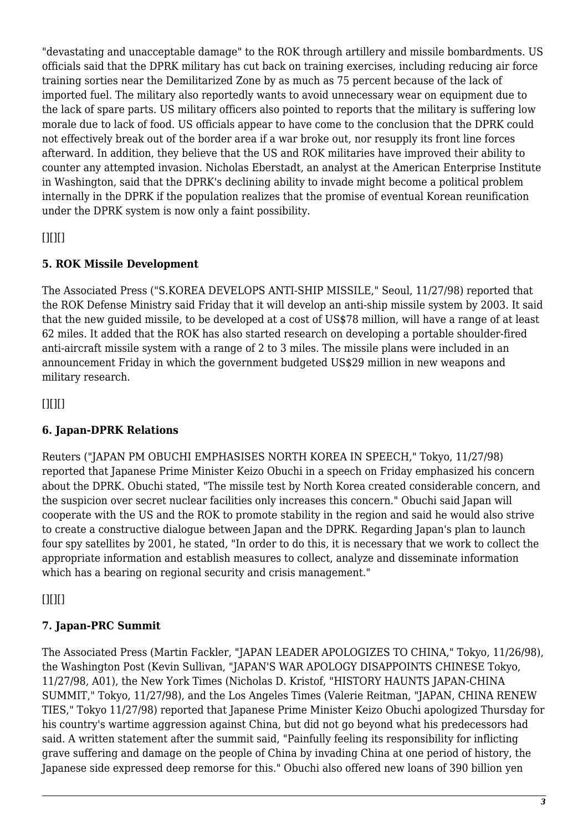"devastating and unacceptable damage" to the ROK through artillery and missile bombardments. US officials said that the DPRK military has cut back on training exercises, including reducing air force training sorties near the Demilitarized Zone by as much as 75 percent because of the lack of imported fuel. The military also reportedly wants to avoid unnecessary wear on equipment due to the lack of spare parts. US military officers also pointed to reports that the military is suffering low morale due to lack of food. US officials appear to have come to the conclusion that the DPRK could not effectively break out of the border area if a war broke out, nor resupply its front line forces afterward. In addition, they believe that the US and ROK militaries have improved their ability to counter any attempted invasion. Nicholas Eberstadt, an analyst at the American Enterprise Institute in Washington, said that the DPRK's declining ability to invade might become a political problem internally in the DPRK if the population realizes that the promise of eventual Korean reunification under the DPRK system is now only a faint possibility.

<span id="page-2-0"></span> $[$ [ $]$  $[$  $]$  $[$  $]$  $[$  $]$  $[$  $]$  $[$  $]$  $[$  $]$  $[$  $]$  $[$  $]$  $[$  $]$  $[$  $]$  $[$  $]$  $[$  $]$  $[$  $]$  $[$  $]$  $[$  $]$  $[$  $]$  $[$  $]$  $[$  $]$  $[$  $]$  $[$  $]$  $[$  $]$  $[$  $]$  $[$  $]$  $[$  $]$  $[$  $]$  $[$  $]$  $[$  $]$  $[$  $]$  $[$  $]$  $[$  $]$  $[$  $]$  $[$  $]$  $[$  $]$  $[$  $]$  $[$  $]$  $[$ 

# **5. ROK Missile Development**

The Associated Press ("S.KOREA DEVELOPS ANTI-SHIP MISSILE," Seoul, 11/27/98) reported that the ROK Defense Ministry said Friday that it will develop an anti-ship missile system by 2003. It said that the new guided missile, to be developed at a cost of US\$78 million, will have a range of at least 62 miles. It added that the ROK has also started research on developing a portable shoulder-fired anti-aircraft missile system with a range of 2 to 3 miles. The missile plans were included in an announcement Friday in which the government budgeted US\$29 million in new weapons and military research.

<span id="page-2-1"></span> $[$ [ $]$  $[$  $]$  $[$  $]$  $[$  $]$  $[$  $]$  $[$  $]$  $[$  $]$  $[$  $]$  $[$  $]$  $[$  $]$  $[$  $]$  $[$  $]$  $[$  $]$  $[$  $]$  $[$  $]$  $[$  $]$  $[$  $]$  $[$  $]$  $[$  $]$  $[$  $]$  $[$  $]$  $[$  $]$  $[$  $]$  $[$  $]$  $[$  $]$  $[$  $]$  $[$  $]$  $[$  $]$  $[$  $]$  $[$  $]$  $[$  $]$  $[$  $]$  $[$  $]$  $[$  $]$  $[$  $]$  $[$  $]$  $[$ 

# **6. Japan-DPRK Relations**

Reuters ("JAPAN PM OBUCHI EMPHASISES NORTH KOREA IN SPEECH," Tokyo, 11/27/98) reported that Japanese Prime Minister Keizo Obuchi in a speech on Friday emphasized his concern about the DPRK. Obuchi stated, "The missile test by North Korea created considerable concern, and the suspicion over secret nuclear facilities only increases this concern." Obuchi said Japan will cooperate with the US and the ROK to promote stability in the region and said he would also strive to create a constructive dialogue between Japan and the DPRK. Regarding Japan's plan to launch four spy satellites by 2001, he stated, "In order to do this, it is necessary that we work to collect the appropriate information and establish measures to collect, analyze and disseminate information which has a bearing on regional security and crisis management."

<span id="page-2-2"></span> $[$ [ $]$  $[$  $]$  $[$  $]$  $[$  $]$  $[$  $]$  $[$  $]$  $[$  $]$  $[$  $]$  $[$  $]$  $[$  $]$  $[$  $]$  $[$  $]$  $[$  $]$  $[$  $]$  $[$  $]$  $[$  $]$  $[$  $]$  $[$  $]$  $[$  $]$  $[$  $]$  $[$  $]$  $[$  $]$  $[$  $]$  $[$  $]$  $[$  $]$  $[$  $]$  $[$  $]$  $[$  $]$  $[$  $]$  $[$  $]$  $[$  $]$  $[$  $]$  $[$  $]$  $[$  $]$  $[$  $]$  $[$  $]$  $[$ 

# **7. Japan-PRC Summit**

The Associated Press (Martin Fackler, "JAPAN LEADER APOLOGIZES TO CHINA," Tokyo, 11/26/98), the Washington Post (Kevin Sullivan, "JAPAN'S WAR APOLOGY DISAPPOINTS CHINESE Tokyo, 11/27/98, A01), the New York Times (Nicholas D. Kristof, "HISTORY HAUNTS JAPAN-CHINA SUMMIT," Tokyo, 11/27/98), and the Los Angeles Times (Valerie Reitman, "JAPAN, CHINA RENEW TIES," Tokyo 11/27/98) reported that Japanese Prime Minister Keizo Obuchi apologized Thursday for his country's wartime aggression against China, but did not go beyond what his predecessors had said. A written statement after the summit said, "Painfully feeling its responsibility for inflicting grave suffering and damage on the people of China by invading China at one period of history, the Japanese side expressed deep remorse for this." Obuchi also offered new loans of 390 billion yen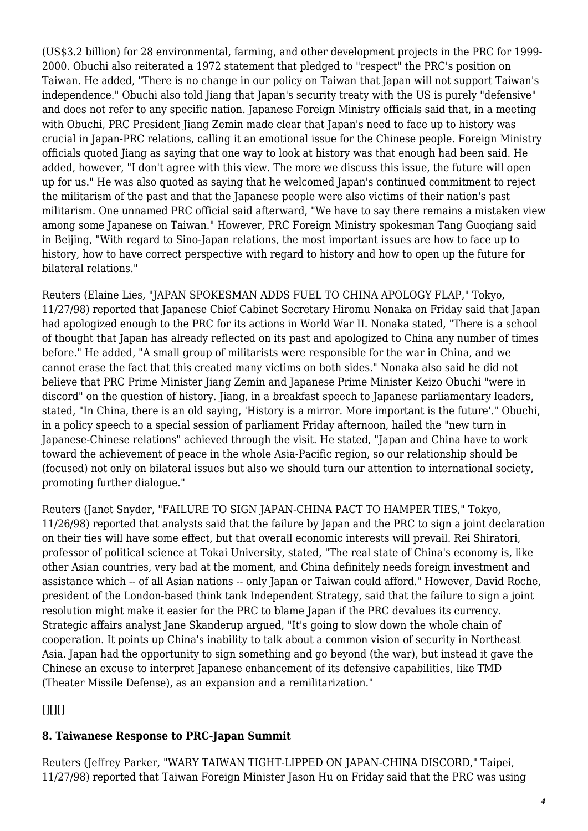(US\$3.2 billion) for 28 environmental, farming, and other development projects in the PRC for 1999- 2000. Obuchi also reiterated a 1972 statement that pledged to "respect" the PRC's position on Taiwan. He added, "There is no change in our policy on Taiwan that Japan will not support Taiwan's independence." Obuchi also told Jiang that Japan's security treaty with the US is purely "defensive" and does not refer to any specific nation. Japanese Foreign Ministry officials said that, in a meeting with Obuchi, PRC President Jiang Zemin made clear that Japan's need to face up to history was crucial in Japan-PRC relations, calling it an emotional issue for the Chinese people. Foreign Ministry officials quoted Jiang as saying that one way to look at history was that enough had been said. He added, however, "I don't agree with this view. The more we discuss this issue, the future will open up for us." He was also quoted as saying that he welcomed Japan's continued commitment to reject the militarism of the past and that the Japanese people were also victims of their nation's past militarism. One unnamed PRC official said afterward, "We have to say there remains a mistaken view among some Japanese on Taiwan." However, PRC Foreign Ministry spokesman Tang Guoqiang said in Beijing, "With regard to Sino-Japan relations, the most important issues are how to face up to history, how to have correct perspective with regard to history and how to open up the future for bilateral relations."

Reuters (Elaine Lies, "JAPAN SPOKESMAN ADDS FUEL TO CHINA APOLOGY FLAP," Tokyo, 11/27/98) reported that Japanese Chief Cabinet Secretary Hiromu Nonaka on Friday said that Japan had apologized enough to the PRC for its actions in World War II. Nonaka stated, "There is a school of thought that Japan has already reflected on its past and apologized to China any number of times before." He added, "A small group of militarists were responsible for the war in China, and we cannot erase the fact that this created many victims on both sides." Nonaka also said he did not believe that PRC Prime Minister Jiang Zemin and Japanese Prime Minister Keizo Obuchi "were in discord" on the question of history. Jiang, in a breakfast speech to Japanese parliamentary leaders, stated, "In China, there is an old saying, 'History is a mirror. More important is the future'." Obuchi, in a policy speech to a special session of parliament Friday afternoon, hailed the "new turn in Japanese-Chinese relations" achieved through the visit. He stated, "Japan and China have to work toward the achievement of peace in the whole Asia-Pacific region, so our relationship should be (focused) not only on bilateral issues but also we should turn our attention to international society, promoting further dialogue."

Reuters (Janet Snyder, "FAILURE TO SIGN JAPAN-CHINA PACT TO HAMPER TIES," Tokyo, 11/26/98) reported that analysts said that the failure by Japan and the PRC to sign a joint declaration on their ties will have some effect, but that overall economic interests will prevail. Rei Shiratori, professor of political science at Tokai University, stated, "The real state of China's economy is, like other Asian countries, very bad at the moment, and China definitely needs foreign investment and assistance which -- of all Asian nations -- only Japan or Taiwan could afford." However, David Roche, president of the London-based think tank Independent Strategy, said that the failure to sign a joint resolution might make it easier for the PRC to blame Japan if the PRC devalues its currency. Strategic affairs analyst Jane Skanderup argued, "It's going to slow down the whole chain of cooperation. It points up China's inability to talk about a common vision of security in Northeast Asia. Japan had the opportunity to sign something and go beyond (the war), but instead it gave the Chinese an excuse to interpret Japanese enhancement of its defensive capabilities, like TMD (Theater Missile Defense), as an expansion and a remilitarization."

<span id="page-3-0"></span> $[$ [ $]$  $[$  $]$  $[$  $]$  $[$  $]$  $[$  $]$  $[$  $]$  $[$  $]$  $[$  $]$  $[$  $]$  $[$  $]$  $[$  $]$  $[$  $]$  $[$  $]$  $[$  $]$  $[$  $]$  $[$  $]$  $[$  $]$  $[$  $]$  $[$  $]$  $[$  $]$  $[$  $]$  $[$  $]$  $[$  $]$  $[$  $]$  $[$  $]$  $[$  $]$  $[$  $]$  $[$  $]$  $[$  $]$  $[$  $]$  $[$  $]$  $[$  $]$  $[$  $]$  $[$  $]$  $[$  $]$  $[$  $]$  $[$ 

#### **8. Taiwanese Response to PRC-Japan Summit**

Reuters (Jeffrey Parker, "WARY TAIWAN TIGHT-LIPPED ON JAPAN-CHINA DISCORD," Taipei, 11/27/98) reported that Taiwan Foreign Minister Jason Hu on Friday said that the PRC was using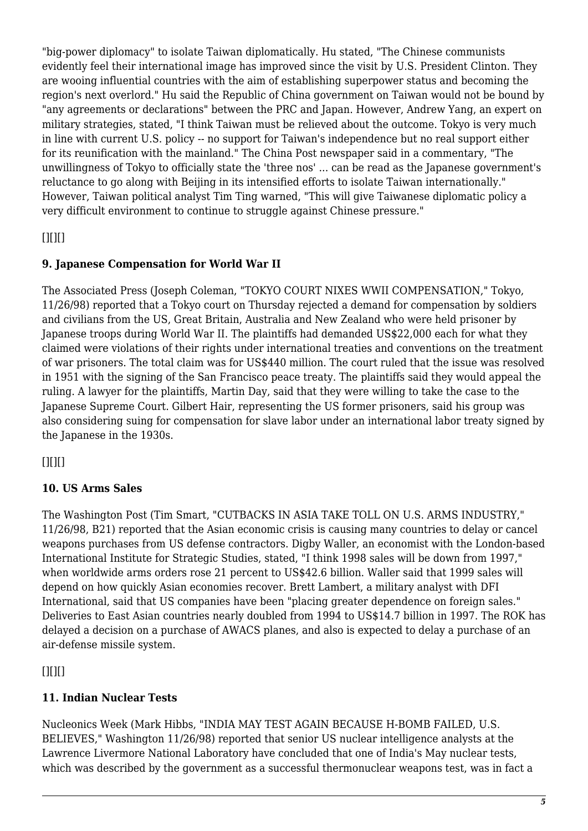"big-power diplomacy" to isolate Taiwan diplomatically. Hu stated, "The Chinese communists evidently feel their international image has improved since the visit by U.S. President Clinton. They are wooing influential countries with the aim of establishing superpower status and becoming the region's next overlord." Hu said the Republic of China government on Taiwan would not be bound by "any agreements or declarations" between the PRC and Japan. However, Andrew Yang, an expert on military strategies, stated, "I think Taiwan must be relieved about the outcome. Tokyo is very much in line with current U.S. policy -- no support for Taiwan's independence but no real support either for its reunification with the mainland." The China Post newspaper said in a commentary, "The unwillingness of Tokyo to officially state the 'three nos' ... can be read as the Japanese government's reluctance to go along with Beijing in its intensified efforts to isolate Taiwan internationally." However, Taiwan political analyst Tim Ting warned, "This will give Taiwanese diplomatic policy a very difficult environment to continue to struggle against Chinese pressure."

<span id="page-4-0"></span> $[$ [ $]$  $[$  $]$  $[$  $]$  $[$  $]$  $[$  $]$  $[$  $]$  $[$  $]$  $[$  $]$  $[$  $]$  $[$  $]$  $[$  $]$  $[$  $]$  $[$  $]$  $[$  $]$  $[$  $]$  $[$  $]$  $[$  $]$  $[$  $]$  $[$  $]$  $[$  $]$  $[$  $]$  $[$  $]$  $[$  $]$  $[$  $]$  $[$  $]$  $[$  $]$  $[$  $]$  $[$  $]$  $[$  $]$  $[$  $]$  $[$  $]$  $[$  $]$  $[$  $]$  $[$  $]$  $[$  $]$  $[$  $]$  $[$ 

## **9. Japanese Compensation for World War II**

The Associated Press (Joseph Coleman, "TOKYO COURT NIXES WWII COMPENSATION," Tokyo, 11/26/98) reported that a Tokyo court on Thursday rejected a demand for compensation by soldiers and civilians from the US, Great Britain, Australia and New Zealand who were held prisoner by Japanese troops during World War II. The plaintiffs had demanded US\$22,000 each for what they claimed were violations of their rights under international treaties and conventions on the treatment of war prisoners. The total claim was for US\$440 million. The court ruled that the issue was resolved in 1951 with the signing of the San Francisco peace treaty. The plaintiffs said they would appeal the ruling. A lawyer for the plaintiffs, Martin Day, said that they were willing to take the case to the Japanese Supreme Court. Gilbert Hair, representing the US former prisoners, said his group was also considering suing for compensation for slave labor under an international labor treaty signed by the Japanese in the 1930s.

<span id="page-4-1"></span> $[$ [ $]$  $[$  $]$  $[$  $]$  $[$  $]$  $[$  $]$  $[$  $]$  $[$  $]$  $[$  $]$  $[$  $]$  $[$  $]$  $[$  $]$  $[$  $]$  $[$  $]$  $[$  $]$  $[$  $]$  $[$  $]$  $[$  $]$  $[$  $]$  $[$  $]$  $[$  $]$  $[$  $]$  $[$  $]$  $[$  $]$  $[$  $]$  $[$  $]$  $[$  $]$  $[$  $]$  $[$  $]$  $[$  $]$  $[$  $]$  $[$  $]$  $[$  $]$  $[$  $]$  $[$  $]$  $[$  $]$  $[$  $]$  $[$ 

# **10. US Arms Sales**

The Washington Post (Tim Smart, "CUTBACKS IN ASIA TAKE TOLL ON U.S. ARMS INDUSTRY," 11/26/98, B21) reported that the Asian economic crisis is causing many countries to delay or cancel weapons purchases from US defense contractors. Digby Waller, an economist with the London-based International Institute for Strategic Studies, stated, "I think 1998 sales will be down from 1997," when worldwide arms orders rose 21 percent to US\$42.6 billion. Waller said that 1999 sales will depend on how quickly Asian economies recover. Brett Lambert, a military analyst with DFI International, said that US companies have been "placing greater dependence on foreign sales." Deliveries to East Asian countries nearly doubled from 1994 to US\$14.7 billion in 1997. The ROK has delayed a decision on a purchase of AWACS planes, and also is expected to delay a purchase of an air-defense missile system.

<span id="page-4-2"></span> $[$ [ $]$  $[$  $]$  $[$  $]$  $[$  $]$  $[$  $]$  $[$  $]$  $[$  $]$  $[$  $]$  $[$  $]$  $[$  $]$  $[$  $]$  $[$  $]$  $[$  $]$  $[$  $]$  $[$  $]$  $[$  $]$  $[$  $]$  $[$  $]$  $[$  $]$  $[$  $]$  $[$  $]$  $[$  $]$  $[$  $]$  $[$  $]$  $[$  $]$  $[$  $]$  $[$  $]$  $[$  $]$  $[$  $]$  $[$  $]$  $[$  $]$  $[$  $]$  $[$  $]$  $[$  $]$  $[$  $]$  $[$  $]$  $[$ 

#### **11. Indian Nuclear Tests**

Nucleonics Week (Mark Hibbs, "INDIA MAY TEST AGAIN BECAUSE H-BOMB FAILED, U.S. BELIEVES," Washington 11/26/98) reported that senior US nuclear intelligence analysts at the Lawrence Livermore National Laboratory have concluded that one of India's May nuclear tests, which was described by the government as a successful thermonuclear weapons test, was in fact a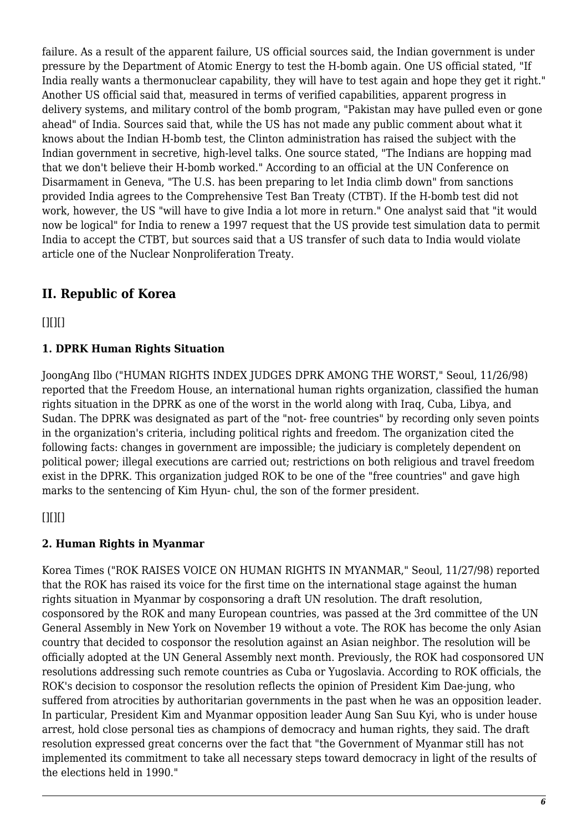failure. As a result of the apparent failure, US official sources said, the Indian government is under pressure by the Department of Atomic Energy to test the H-bomb again. One US official stated, "If India really wants a thermonuclear capability, they will have to test again and hope they get it right." Another US official said that, measured in terms of verified capabilities, apparent progress in delivery systems, and military control of the bomb program, "Pakistan may have pulled even or gone ahead" of India. Sources said that, while the US has not made any public comment about what it knows about the Indian H-bomb test, the Clinton administration has raised the subject with the Indian government in secretive, high-level talks. One source stated, "The Indians are hopping mad that we don't believe their H-bomb worked." According to an official at the UN Conference on Disarmament in Geneva, "The U.S. has been preparing to let India climb down" from sanctions provided India agrees to the Comprehensive Test Ban Treaty (CTBT). If the H-bomb test did not work, however, the US "will have to give India a lot more in return." One analyst said that "it would now be logical" for India to renew a 1997 request that the US provide test simulation data to permit India to accept the CTBT, but sources said that a US transfer of such data to India would violate article one of the Nuclear Nonproliferation Treaty.

# <span id="page-5-0"></span>**II. Republic of Korea**

<span id="page-5-1"></span> $[$ [ $]$  $[$  $]$  $[$  $]$  $[$  $]$  $[$  $]$  $[$  $]$  $[$  $]$  $[$  $]$  $[$  $]$  $[$  $]$  $[$  $]$  $[$  $]$  $[$  $]$  $[$  $]$  $[$  $]$  $[$  $]$  $[$  $]$  $[$  $]$  $[$  $]$  $[$  $]$  $[$  $]$  $[$  $]$  $[$  $]$  $[$  $]$  $[$  $]$  $[$  $]$  $[$  $]$  $[$  $]$  $[$  $]$  $[$  $]$  $[$  $]$  $[$  $]$  $[$  $]$  $[$  $]$  $[$  $]$  $[$  $]$  $[$ 

#### **1. DPRK Human Rights Situation**

JoongAng Ilbo ("HUMAN RIGHTS INDEX JUDGES DPRK AMONG THE WORST," Seoul, 11/26/98) reported that the Freedom House, an international human rights organization, classified the human rights situation in the DPRK as one of the worst in the world along with Iraq, Cuba, Libya, and Sudan. The DPRK was designated as part of the "not- free countries" by recording only seven points in the organization's criteria, including political rights and freedom. The organization cited the following facts: changes in government are impossible; the judiciary is completely dependent on political power; illegal executions are carried out; restrictions on both religious and travel freedom exist in the DPRK. This organization judged ROK to be one of the "free countries" and gave high marks to the sentencing of Kim Hyun- chul, the son of the former president.

#### <span id="page-5-2"></span> $[$ [ $]$  $[$  $]$  $[$  $]$  $[$  $]$  $[$  $]$  $[$  $]$  $[$  $]$  $[$  $]$  $[$  $]$  $[$  $]$  $[$  $]$  $[$  $]$  $[$  $]$  $[$  $]$  $[$  $]$  $[$  $]$  $[$  $]$  $[$  $]$  $[$  $]$  $[$  $]$  $[$  $]$  $[$  $]$  $[$  $]$  $[$  $]$  $[$  $]$  $[$  $]$  $[$  $]$  $[$  $]$  $[$  $]$  $[$  $]$  $[$  $]$  $[$  $]$  $[$  $]$  $[$  $]$  $[$  $]$  $[$  $]$  $[$

#### **2. Human Rights in Myanmar**

<span id="page-5-3"></span>Korea Times ("ROK RAISES VOICE ON HUMAN RIGHTS IN MYANMAR," Seoul, 11/27/98) reported that the ROK has raised its voice for the first time on the international stage against the human rights situation in Myanmar by cosponsoring a draft UN resolution. The draft resolution, cosponsored by the ROK and many European countries, was passed at the 3rd committee of the UN General Assembly in New York on November 19 without a vote. The ROK has become the only Asian country that decided to cosponsor the resolution against an Asian neighbor. The resolution will be officially adopted at the UN General Assembly next month. Previously, the ROK had cosponsored UN resolutions addressing such remote countries as Cuba or Yugoslavia. According to ROK officials, the ROK's decision to cosponsor the resolution reflects the opinion of President Kim Dae-jung, who suffered from atrocities by authoritarian governments in the past when he was an opposition leader. In particular, President Kim and Myanmar opposition leader Aung San Suu Kyi, who is under house arrest, hold close personal ties as champions of democracy and human rights, they said. The draft resolution expressed great concerns over the fact that "the Government of Myanmar still has not implemented its commitment to take all necessary steps toward democracy in light of the results of the elections held in 1990."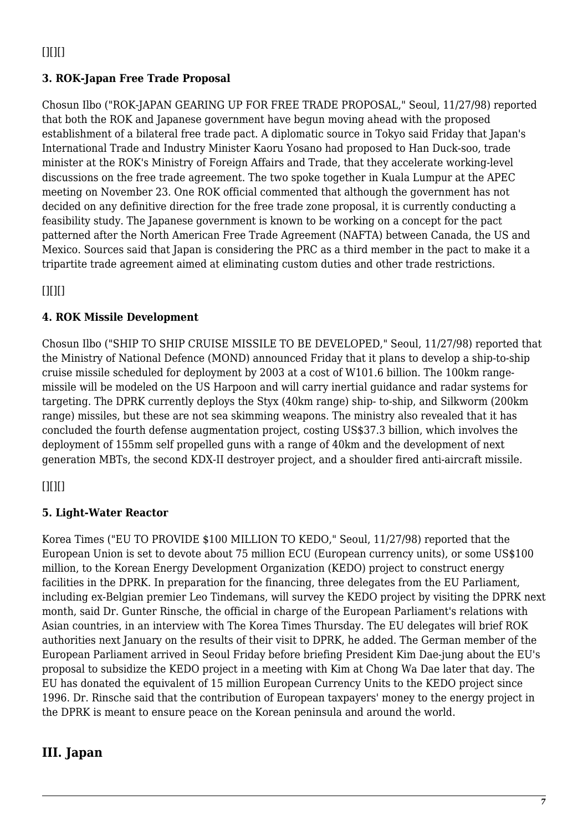## **3. ROK-Japan Free Trade Proposal**

Chosun Ilbo ("ROK-JAPAN GEARING UP FOR FREE TRADE PROPOSAL," Seoul, 11/27/98) reported that both the ROK and Japanese government have begun moving ahead with the proposed establishment of a bilateral free trade pact. A diplomatic source in Tokyo said Friday that Japan's International Trade and Industry Minister Kaoru Yosano had proposed to Han Duck-soo, trade minister at the ROK's Ministry of Foreign Affairs and Trade, that they accelerate working-level discussions on the free trade agreement. The two spoke together in Kuala Lumpur at the APEC meeting on November 23. One ROK official commented that although the government has not decided on any definitive direction for the free trade zone proposal, it is currently conducting a feasibility study. The Japanese government is known to be working on a concept for the pact patterned after the North American Free Trade Agreement (NAFTA) between Canada, the US and Mexico. Sources said that Japan is considering the PRC as a third member in the pact to make it a tripartite trade agreement aimed at eliminating custom duties and other trade restrictions.

<span id="page-6-0"></span> $[$ [ $]$  $[$  $]$  $[$  $]$  $[$  $]$  $[$  $]$  $[$  $]$  $[$  $]$  $[$  $]$  $[$  $]$  $[$  $]$  $[$  $]$  $[$  $]$  $[$  $]$  $[$  $]$  $[$  $]$  $[$  $]$  $[$  $]$  $[$  $]$  $[$  $]$  $[$  $]$  $[$  $]$  $[$  $]$  $[$  $]$  $[$  $]$  $[$  $]$  $[$  $]$  $[$  $]$  $[$  $]$  $[$  $]$  $[$  $]$  $[$  $]$  $[$  $]$  $[$  $]$  $[$  $]$  $[$  $]$  $[$  $]$  $[$ 

# **4. ROK Missile Development**

Chosun Ilbo ("SHIP TO SHIP CRUISE MISSILE TO BE DEVELOPED," Seoul, 11/27/98) reported that the Ministry of National Defence (MOND) announced Friday that it plans to develop a ship-to-ship cruise missile scheduled for deployment by 2003 at a cost of W101.6 billion. The 100km rangemissile will be modeled on the US Harpoon and will carry inertial guidance and radar systems for targeting. The DPRK currently deploys the Styx (40km range) ship- to-ship, and Silkworm (200km range) missiles, but these are not sea skimming weapons. The ministry also revealed that it has concluded the fourth defense augmentation project, costing US\$37.3 billion, which involves the deployment of 155mm self propelled guns with a range of 40km and the development of next generation MBTs, the second KDX-II destroyer project, and a shoulder fired anti-aircraft missile.

# <span id="page-6-1"></span> $[$ [ $]$  $[$  $]$  $[$  $]$  $[$  $]$  $[$  $]$  $[$  $]$  $[$  $]$  $[$  $]$  $[$  $]$  $[$  $]$  $[$  $]$  $[$  $]$  $[$  $]$  $[$  $]$  $[$  $]$  $[$  $]$  $[$  $]$  $[$  $]$  $[$  $]$  $[$  $]$  $[$  $]$  $[$  $]$  $[$  $]$  $[$  $]$  $[$  $]$  $[$  $]$  $[$  $]$  $[$  $]$  $[$  $]$  $[$  $]$  $[$  $]$  $[$  $]$  $[$  $]$  $[$  $]$  $[$  $]$  $[$  $]$  $[$

#### **5. Light-Water Reactor**

Korea Times ("EU TO PROVIDE \$100 MILLION TO KEDO," Seoul, 11/27/98) reported that the European Union is set to devote about 75 million ECU (European currency units), or some US\$100 million, to the Korean Energy Development Organization (KEDO) project to construct energy facilities in the DPRK. In preparation for the financing, three delegates from the EU Parliament, including ex-Belgian premier Leo Tindemans, will survey the KEDO project by visiting the DPRK next month, said Dr. Gunter Rinsche, the official in charge of the European Parliament's relations with Asian countries, in an interview with The Korea Times Thursday. The EU delegates will brief ROK authorities next January on the results of their visit to DPRK, he added. The German member of the European Parliament arrived in Seoul Friday before briefing President Kim Dae-jung about the EU's proposal to subsidize the KEDO project in a meeting with Kim at Chong Wa Dae later that day. The EU has donated the equivalent of 15 million European Currency Units to the KEDO project since 1996. Dr. Rinsche said that the contribution of European taxpayers' money to the energy project in the DPRK is meant to ensure peace on the Korean peninsula and around the world.

# <span id="page-6-3"></span><span id="page-6-2"></span>**III. Japan**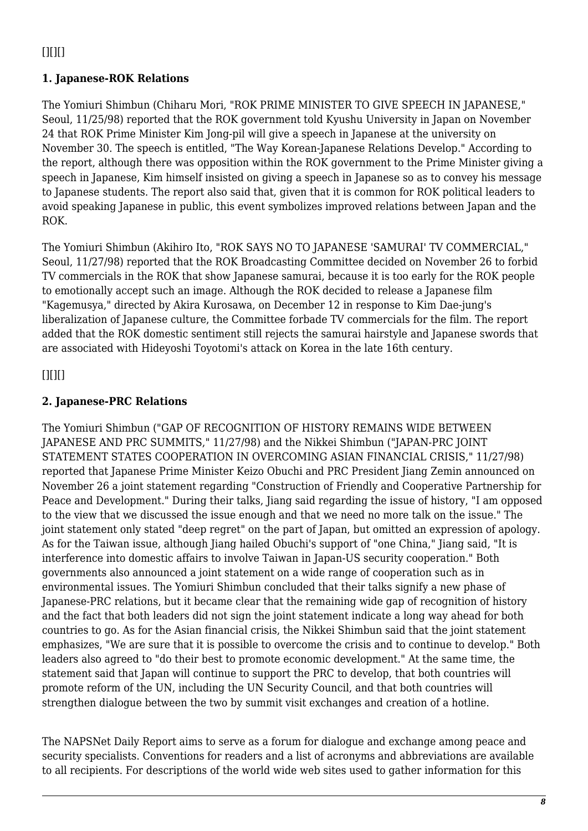# $[$ [ $]$  $[$  $]$  $[$  $]$  $[$  $]$  $[$  $]$  $[$  $]$  $[$  $]$  $[$  $]$  $[$  $]$  $[$  $]$  $[$  $]$  $[$  $]$  $[$  $]$  $[$  $]$  $[$  $]$  $[$  $]$  $[$  $]$  $[$  $]$  $[$  $]$  $[$  $]$  $[$  $]$  $[$  $]$  $[$  $]$  $[$  $]$  $[$  $]$  $[$  $]$  $[$  $]$  $[$  $]$  $[$  $]$  $[$  $]$  $[$  $]$  $[$  $]$  $[$  $]$  $[$  $]$  $[$  $]$  $[$  $]$  $[$

# **1. Japanese-ROK Relations**

The Yomiuri Shimbun (Chiharu Mori, "ROK PRIME MINISTER TO GIVE SPEECH IN JAPANESE," Seoul, 11/25/98) reported that the ROK government told Kyushu University in Japan on November 24 that ROK Prime Minister Kim Jong-pil will give a speech in Japanese at the university on November 30. The speech is entitled, "The Way Korean-Japanese Relations Develop." According to the report, although there was opposition within the ROK government to the Prime Minister giving a speech in Japanese, Kim himself insisted on giving a speech in Japanese so as to convey his message to Japanese students. The report also said that, given that it is common for ROK political leaders to avoid speaking Japanese in public, this event symbolizes improved relations between Japan and the ROK.

The Yomiuri Shimbun (Akihiro Ito, "ROK SAYS NO TO JAPANESE 'SAMURAI' TV COMMERCIAL," Seoul, 11/27/98) reported that the ROK Broadcasting Committee decided on November 26 to forbid TV commercials in the ROK that show Japanese samurai, because it is too early for the ROK people to emotionally accept such an image. Although the ROK decided to release a Japanese film "Kagemusya," directed by Akira Kurosawa, on December 12 in response to Kim Dae-jung's liberalization of Japanese culture, the Committee forbade TV commercials for the film. The report added that the ROK domestic sentiment still rejects the samurai hairstyle and Japanese swords that are associated with Hideyoshi Toyotomi's attack on Korea in the late 16th century.

# <span id="page-7-0"></span> $[$ [ $]$  $[$  $]$  $[$  $]$  $[$  $]$  $[$  $]$  $[$  $]$  $[$  $]$  $[$  $]$  $[$  $]$  $[$  $]$  $[$  $]$  $[$  $]$  $[$  $]$  $[$  $]$  $[$  $]$  $[$  $]$  $[$  $]$  $[$  $]$  $[$  $]$  $[$  $]$  $[$  $]$  $[$  $]$  $[$  $]$  $[$  $]$  $[$  $]$  $[$  $]$  $[$  $]$  $[$  $]$  $[$  $]$  $[$  $]$  $[$  $]$  $[$  $]$  $[$  $]$  $[$  $]$  $[$  $]$  $[$  $]$  $[$

# **2. Japanese-PRC Relations**

The Yomiuri Shimbun ("GAP OF RECOGNITION OF HISTORY REMAINS WIDE BETWEEN JAPANESE AND PRC SUMMITS," 11/27/98) and the Nikkei Shimbun ("JAPAN-PRC JOINT STATEMENT STATES COOPERATION IN OVERCOMING ASIAN FINANCIAL CRISIS," 11/27/98) reported that Japanese Prime Minister Keizo Obuchi and PRC President Jiang Zemin announced on November 26 a joint statement regarding "Construction of Friendly and Cooperative Partnership for Peace and Development." During their talks, Jiang said regarding the issue of history, "I am opposed to the view that we discussed the issue enough and that we need no more talk on the issue." The joint statement only stated "deep regret" on the part of Japan, but omitted an expression of apology. As for the Taiwan issue, although Jiang hailed Obuchi's support of "one China," Jiang said, "It is interference into domestic affairs to involve Taiwan in Japan-US security cooperation." Both governments also announced a joint statement on a wide range of cooperation such as in environmental issues. The Yomiuri Shimbun concluded that their talks signify a new phase of Japanese-PRC relations, but it became clear that the remaining wide gap of recognition of history and the fact that both leaders did not sign the joint statement indicate a long way ahead for both countries to go. As for the Asian financial crisis, the Nikkei Shimbun said that the joint statement emphasizes, "We are sure that it is possible to overcome the crisis and to continue to develop." Both leaders also agreed to "do their best to promote economic development." At the same time, the statement said that Japan will continue to support the PRC to develop, that both countries will promote reform of the UN, including the UN Security Council, and that both countries will strengthen dialogue between the two by summit visit exchanges and creation of a hotline.

The NAPSNet Daily Report aims to serve as a forum for dialogue and exchange among peace and security specialists. Conventions for readers and a list of acronyms and abbreviations are available to all recipients. For descriptions of the world wide web sites used to gather information for this